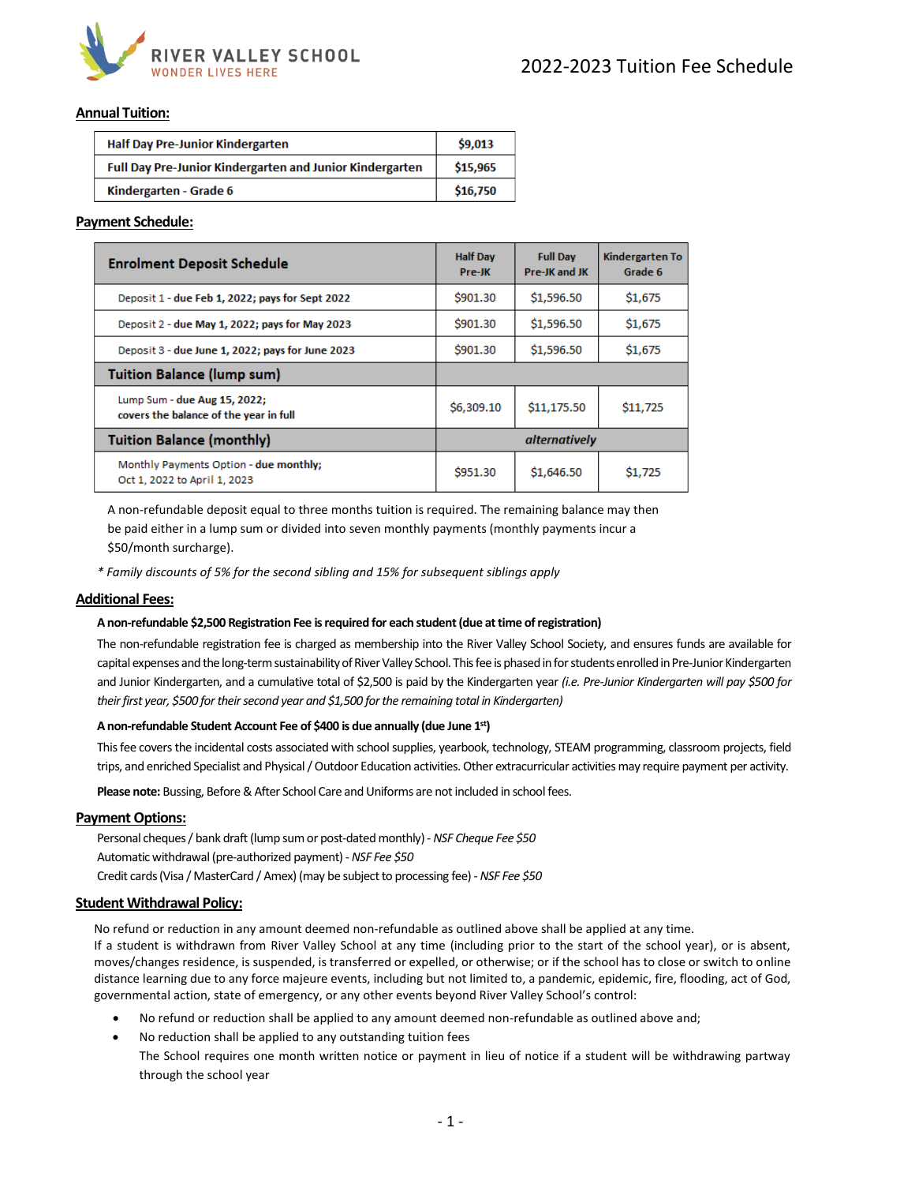

## **Annual Tuition:**

| <b>Half Day Pre-Junior Kindergarten</b>                  | \$9,013  |
|----------------------------------------------------------|----------|
| Full Day Pre-Junior Kindergarten and Junior Kindergarten | \$15,965 |
| Kindergarten - Grade 6                                   | \$16,750 |

## **Payment Schedule:**

| <b>Enrolment Deposit Schedule</b>                                      | <b>Half Day</b><br>Pre-JK | <b>Full Day</b><br>Pre-JK and JK | Kindergarten To<br>Grade 6 |  |
|------------------------------------------------------------------------|---------------------------|----------------------------------|----------------------------|--|
| Deposit 1 - due Feb 1, 2022; pays for Sept 2022                        | <b>\$901.30</b>           | \$1,596.50                       | \$1,675                    |  |
| Deposit 2 - due May 1, 2022; pays for May 2023                         | S901.30                   | \$1,596.50                       | \$1,675                    |  |
| Deposit 3 - due June 1, 2022; pays for June 2023                       | \$901.30                  | \$1,596.50                       | \$1,675                    |  |
| <b>Tuition Balance (lump sum)</b>                                      |                           |                                  |                            |  |
| Lump Sum - due Aug 15, 2022;<br>covers the balance of the year in full | \$6,309.10                | \$11,175.50                      | \$11,725                   |  |
| <b>Tuition Balance (monthly)</b>                                       | alternatively             |                                  |                            |  |
| Monthly Payments Option - due monthly;<br>Oct 1, 2022 to April 1, 2023 | \$951.30                  | \$1,646.50                       | \$1,725                    |  |

A non-refundable deposit equal to three months tuition is required. The remaining balance may then be paid either in a lump sum or divided into seven monthly payments (monthly payments incur a \$50/month surcharge).

*\* Family discounts of 5% for the second sibling and 15% for subsequent siblings apply*

#### **Additional Fees:**

#### **A non-refundable \$2,500 Registration Fee is required for each student (due at time of registration)**

The non-refundable registration fee is charged as membership into the River Valley School Society, and ensures funds are available for capital expenses and the long-term sustainability of River Valley School. This fee is phased in for students enrolled in Pre-Junior Kindergarten and Junior Kindergarten, and a cumulative total of \$2,500 is paid by the Kindergarten year *(i.e. Pre-Junior Kindergarten will pay \$500 for their first year, \$500 for their second year and \$1,500 for the remaining total in Kindergarten)* 

#### **A non-refundable Student Account Fee of \$400 is due annually (due June 1 st)**

This fee covers the incidental costs associated with school supplies, yearbook, technology, STEAM programming, classroom projects, field trips, and enriched Specialist and Physical / Outdoor Education activities. Other extracurricular activities may require payment per activity.

**Please note:** Bussing, Before & After School Care and Uniforms are not included in school fees.

#### **Payment Options:**

Personal cheques/ bank draft (lump sum or post-dated monthly)- *NSF Cheque Fee \$50* Automatic withdrawal (pre-authorized payment) -*NSF Fee \$50* Credit cards (Visa / MasterCard / Amex) (may be subject to processing fee) -*NSF Fee \$50*

#### **Student Withdrawal Policy:**

No refund or reduction in any amount deemed non-refundable as outlined above shall be applied at any time. If a student is withdrawn from River Valley School at any time (including prior to the start of the school year), or is absent, moves/changes residence, is suspended, is transferred or expelled, or otherwise; or if the school has to close or switch to online distance learning due to any force majeure events, including but not limited to, a pandemic, epidemic, fire, flooding, act of God, governmental action, state of emergency, or any other events beyond River Valley School's control:

- No refund or reduction shall be applied to any amount deemed non-refundable as outlined above and;
- No reduction shall be applied to any outstanding tuition fees The School requires one month written notice or payment in lieu of notice if a student will be withdrawing partway through the school year